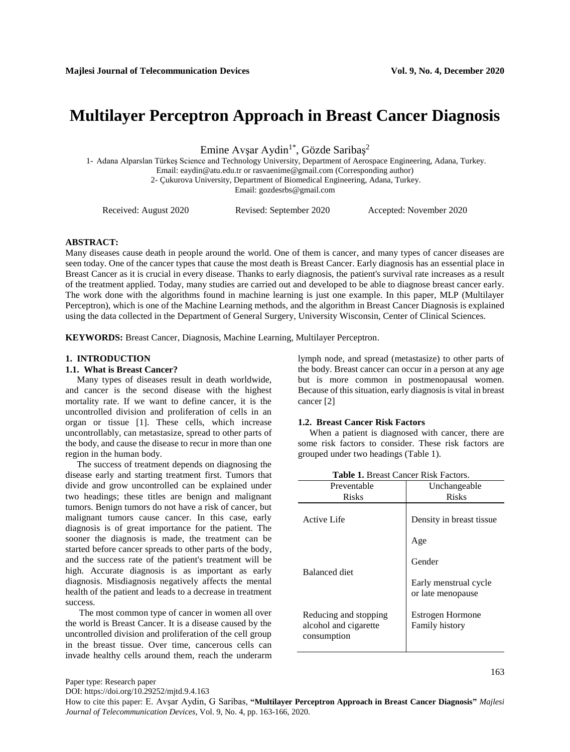# **Multilayer Perceptron Approach in Breast Cancer Diagnosis**

Emine Avşar Aydin<sup>1\*</sup>, Gözde Saribaş<sup>2</sup>

1- Adana Alparslan Türkeş Science and Technology University, Department of Aerospace Engineering, Adana, Turkey. Email: [eaydin@atu.edu.tr](mailto:eaydin@atu.edu.tr) or rasvaenime@gmail.com (Corresponding author) 2- Çukurova University, Department of Biomedical Engineering, Adana, Turkey.

Email: gozdesrbs@gmail.com

Received: August 2020 Revised: September 2020 Accepted: November 2020

## **ABSTRACT:**

Many diseases cause death in people around the world. One of them is cancer, and many types of cancer diseases are seen today. One of the cancer types that cause the most death is Breast Cancer. Early diagnosis has an essential place in Breast Cancer as it is crucial in every disease. Thanks to early diagnosis, the patient's survival rate increases as a result of the treatment applied. Today, many studies are carried out and developed to be able to diagnose breast cancer early. The work done with the algorithms found in machine learning is just one example. In this paper, MLP (Multilayer Perceptron), which is one of the Machine Learning methods, and the algorithm in Breast Cancer Diagnosis is explained using the data collected in the Department of General Surgery, University Wisconsin, Center of Clinical Sciences.

**KEYWORDS:** Breast Cancer, Diagnosis, Machine Learning, Multilayer Perceptron.

### **1. INTRODUCTION**

### **1.1. What is Breast Cancer?**

 Many types of diseases result in death worldwide, and cancer is the second disease with the highest mortality rate. If we want to define cancer, it is the uncontrolled division and proliferation of cells in an organ or tissue [1]. These cells, which increase uncontrollably, can metastasize, spread to other parts of the body, and cause the disease to recur in more than one region in the human body.

 The success of treatment depends on diagnosing the disease early and starting treatment first. Tumors that divide and grow uncontrolled can be explained under two headings; these titles are benign and malignant tumors. Benign tumors do not have a risk of cancer, but malignant tumors cause cancer. In this case, early diagnosis is of great importance for the patient. The sooner the diagnosis is made, the treatment can be started before cancer spreads to other parts of the body, and the success rate of the patient's treatment will be high. Accurate diagnosis is as important as early diagnosis. Misdiagnosis negatively affects the mental health of the patient and leads to a decrease in treatment success.

 The most common type of cancer in women all over the world is Breast Cancer. It is a disease caused by the uncontrolled division and proliferation of the cell group in the breast tissue. Over time, cancerous cells can invade healthy cells around them, reach the underarm lymph node, and spread (metastasize) to other parts of the body. Breast cancer can occur in a person at any age but is more common in postmenopausal women. Because of this situation, early diagnosis is vital in breast cancer [2]

#### **1.2. Breast Cancer Risk Factors**

 When a patient is diagnosed with cancer, there are some risk factors to consider. These risk factors are grouped under two headings (Table 1).

| Preventable<br><b>Risks</b>                                   | Unchangeable<br><b>Risks</b>               |
|---------------------------------------------------------------|--------------------------------------------|
|                                                               |                                            |
| Active Life                                                   | Density in breast tissue.                  |
|                                                               | Age                                        |
| <b>Balanced diet</b>                                          | Gender                                     |
|                                                               | Early menstrual cycle<br>or late menopause |
| Reducing and stopping<br>alcohol and cigarette<br>consumption | Estrogen Hormone<br><b>Family history</b>  |
|                                                               |                                            |

**Table 1.** Breast Cancer Risk Factors.

Paper type: Research paper

DOI: https://doi.org/10.29252/mjtd.9.4.163

How to cite this paper: E. Avşar Aydin, G Saribas, **"Multilayer Perceptron Approach in Breast Cancer Diagnosis"** *Majlesi Journal of Telecommunication Devices*, Vol. 9, No. 4, pp. 163-166, 2020.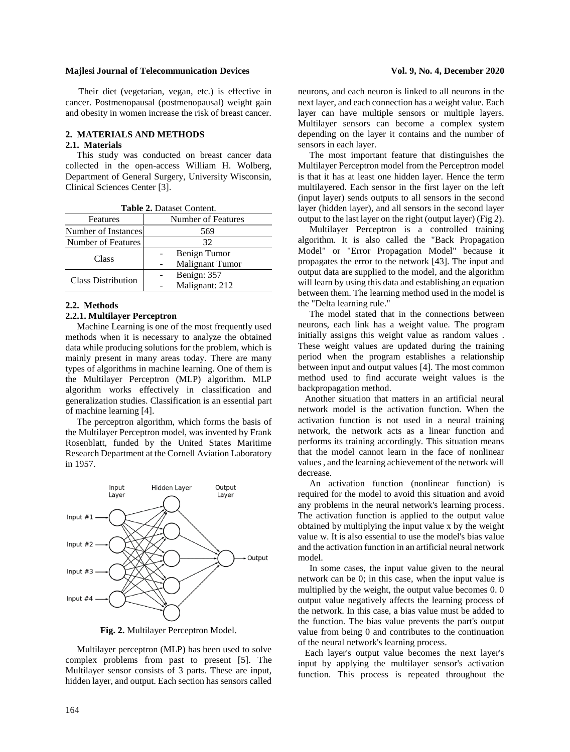#### **Majlesi Journal of Telecommunication Devices Vol. 9, No. 4, December 2020**

Their diet (vegetarian, vegan, etc.) is effective in cancer. Postmenopausal (postmenopausal) weight gain and obesity in women increase the risk of breast cancer.

# **2. MATERIALS AND METHODS**

#### **2.1. Materials**

 This study was conducted on breast cancer data collected in the open-access William H. Wolberg, Department of General Surgery, University Wisconsin, Clinical Sciences Center [3].

| <b>Table 2.</b> Dataset Coment. |  |
|---------------------------------|--|
| Number of Features              |  |
| Number of Instances<br>569      |  |
| 32                              |  |
| Benign Tumor                    |  |
| Malignant Tumor                 |  |
| Benign: 357                     |  |
| Malignant: 212                  |  |
|                                 |  |

**Table 2.** Dataset Content.

# **2.2. Methods**

# **2.2.1. Multilayer Perceptron**

 Machine Learning is one of the most frequently used methods when it is necessary to analyze the obtained data while producing solutions for the problem, which is mainly present in many areas today. There are many types of algorithms in machine learning. One of them is the Multilayer Perceptron (MLP) algorithm. MLP algorithm works effectively in classification and generalization studies. Classification is an essential part of machine learning [4].

 The perceptron algorithm, which forms the basis of the Multilayer Perceptron model, was invented by Frank Rosenblatt, funded by the United States Maritime Research Department at the Cornell Aviation Laboratory in 1957.



**Fig. 2.** Multilayer Perceptron Model.

 Multilayer perceptron (MLP) has been used to solve complex problems from past to present [5]. The Multilayer sensor consists of 3 parts. These are input, hidden layer, and output. Each section has sensors called

neurons, and each neuron is linked to all neurons in the next layer, and each connection has a weight value. Each layer can have multiple sensors or multiple layers. Multilayer sensors can become a complex system depending on the layer it contains and the number of sensors in each layer.

 The most important feature that distinguishes the Multilayer Perceptron model from the Perceptron model is that it has at least one hidden layer. Hence the term multilayered. Each sensor in the first layer on the left (input layer) sends outputs to all sensors in the second layer (hidden layer), and all sensors in the second layer output to the last layer on the right (output layer) (Fig 2).

 Multilayer Perceptron is a controlled training algorithm. It is also called the "Back Propagation Model" or "Error Propagation Model" because it propagates the error to the network [43]. The input and output data are supplied to the model, and the algorithm will learn by using this data and establishing an equation between them. The learning method used in the model is the "Delta learning rule."

 The model stated that in the connections between neurons, each link has a weight value. The program initially assigns this weight value as random values . These weight values are updated during the training period when the program establishes a relationship between input and output values [4]. The most common method used to find accurate weight values is the backpropagation method.

 Another situation that matters in an artificial neural network model is the activation function. When the activation function is not used in a neural training network, the network acts as a linear function and performs its training accordingly. This situation means that the model cannot learn in the face of nonlinear values , and the learning achievement of the network will decrease.

 An activation function (nonlinear function) is required for the model to avoid this situation and avoid any problems in the neural network's learning process. The activation function is applied to the output value obtained by multiplying the input value x by the weight value w. It is also essential to use the model's bias value and the activation function in an artificial neural network model.

 In some cases, the input value given to the neural network can be 0; in this case, when the input value is multiplied by the weight, the output value becomes 0. 0 output value negatively affects the learning process of the network. In this case, a bias value must be added to the function. The bias value prevents the part's output value from being 0 and contributes to the continuation of the neural network's learning process.

 Each layer's output value becomes the next layer's input by applying the multilayer sensor's activation function. This process is repeated throughout the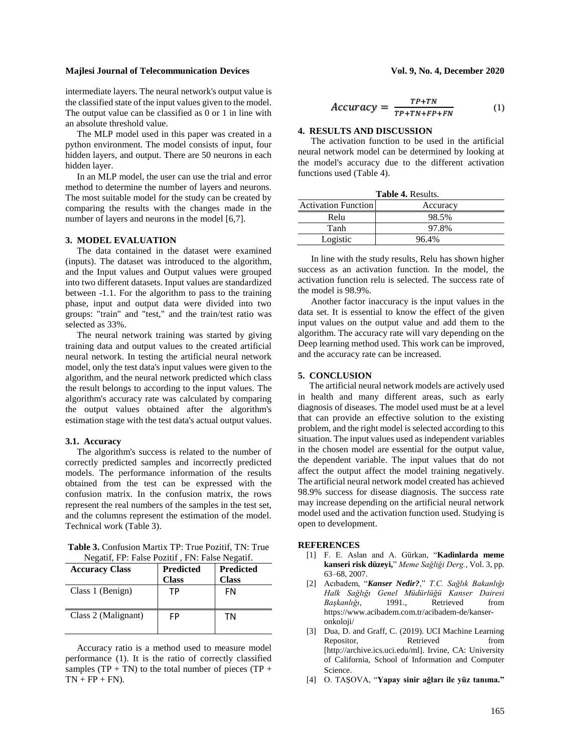# **Majlesi Journal of Telecommunication Devices Vol. 9, No. 4, December 2020**

intermediate layers. The neural network's output value is the classified state of the input values given to the model. The output value can be classified as 0 or 1 in line with an absolute threshold value.

 The MLP model used in this paper was created in a python environment. The model consists of input, four hidden layers, and output. There are 50 neurons in each hidden layer.

 In an MLP model, the user can use the trial and error method to determine the number of layers and neurons. The most suitable model for the study can be created by comparing the results with the changes made in the number of layers and neurons in the model [6,7].

## **3. MODEL EVALUATION**

 The data contained in the dataset were examined (inputs). The dataset was introduced to the algorithm, and the Input values and Output values were grouped into two different datasets. Input values are standardized between -1.1. For the algorithm to pass to the training phase, input and output data were divided into two groups: "train" and "test," and the train/test ratio was selected as 33%.

 The neural network training was started by giving training data and output values to the created artificial neural network. In testing the artificial neural network model, only the test data's input values were given to the algorithm, and the neural network predicted which class the result belongs to according to the input values. The algorithm's accuracy rate was calculated by comparing the output values obtained after the algorithm's estimation stage with the test data's actual output values.

#### **3.1. Accuracy**

 The algorithm's success is related to the number of correctly predicted samples and incorrectly predicted models. The performance information of the results obtained from the test can be expressed with the confusion matrix. In the confusion matrix, the rows represent the real numbers of the samples in the test set, and the columns represent the estimation of the model. Technical work (Table 3).

**Table 3.** Confusion Martix TP: True Pozitif, TN: True Negatif, FP: False Pozitif , FN: False Negatif.

| <b>Accuracy Class</b> | <b>Predicted</b> | <b>Predicted</b> |
|-----------------------|------------------|------------------|
|                       | <b>Class</b>     | <b>Class</b>     |
| Class 1 (Benign)      | ТP               | FN               |
| Class 2 (Malignant)   | FP               | ΤN               |

 Accuracy ratio is a method used to measure model performance (1). It is the ratio of correctly classified samples  $(TP + TN)$  to the total number of pieces  $(TP + TN)$  $TN + FP + FN$ ).

$$
V01. 9, 100. 4, December 2020
$$

$$
Accuracy = \frac{TP + TN}{TP + TN + FP + FN}
$$
 (1)

# **4. RESULTS AND DISCUSSION**

The activation function to be used in the artificial neural network model can be determined by looking at the model's accuracy due to the different activation functions used (Table 4).

| Table 4. Results.          |          |  |
|----------------------------|----------|--|
| <b>Activation Function</b> | Accuracy |  |
| Relu                       | 98.5%    |  |
| Tanh                       | 97.8%    |  |
| Logistic                   | 96.4%    |  |

In line with the study results, Relu has shown higher success as an activation function. In the model, the activation function relu is selected. The success rate of the model is 98.9%.

Another factor inaccuracy is the input values in the data set. It is essential to know the effect of the given input values on the output value and add them to the algorithm. The accuracy rate will vary depending on the Deep learning method used. This work can be improved, and the accuracy rate can be increased.

#### **5. CONCLUSION**

 The artificial neural network models are actively used in health and many different areas, such as early diagnosis of diseases. The model used must be at a level that can provide an effective solution to the existing problem, and the right model is selected according to this situation. The input values used as independent variables in the chosen model are essential for the output value, the dependent variable. The input values that do not affect the output affect the model training negatively. The artificial neural network model created has achieved 98.9% success for disease diagnosis. The success rate may increase depending on the artificial neural network model used and the activation function used. Studying is open to development.

#### **REFERENCES**

- [1] F. E. Aslan and A. Gürkan, "**Kadinlarda meme kanseri risk düzeyi,**" *Meme Sağliği Derg.*, Vol. 3, pp. 63–68, 2007.
- [2] Acıbadem, "*Kanser Nedir?*," *T.C. Sağlık Bakanlığı Halk Sağlığı Genel Müdürlüğü Kanser Dairesi Başkanlığı*, 1991., Retrieved from https://www.acibadem.com.tr/acibadem-de/kanseronkoloji/
- [3] Dua, D. and Graff, C. (2019). UCI Machine Learning Repositor, Retrieved from [http://archive.ics.uci.edu/ml]. Irvine, CA: University of California, School of Information and Computer Science.
- [4] O. TAŞOVA, "**Yapay sinir ağları ile yüz tanıma."**